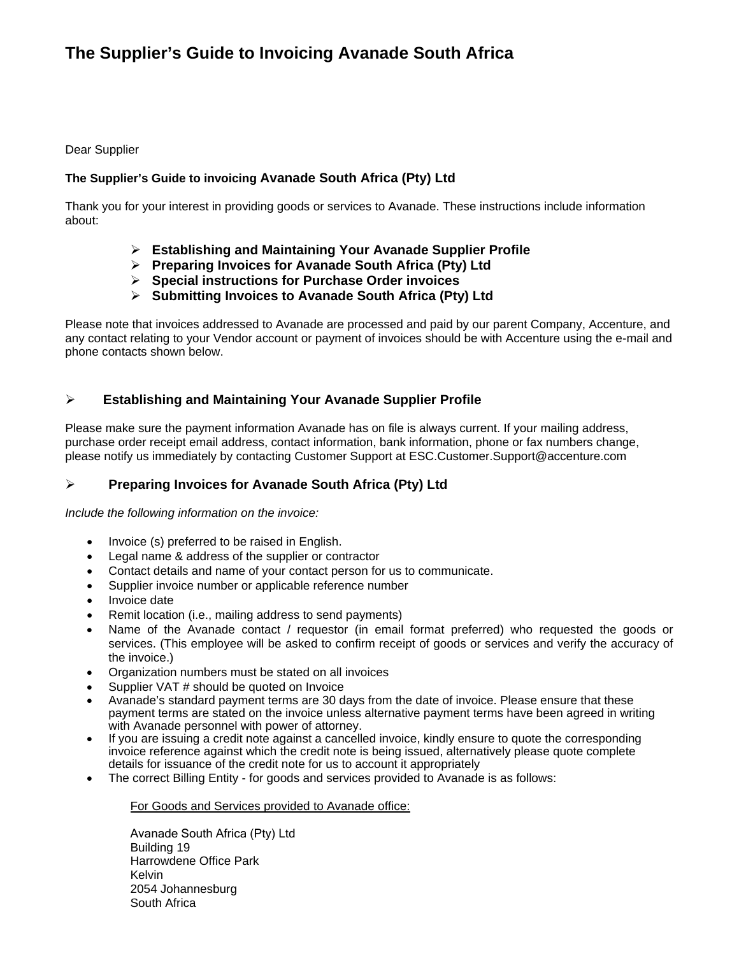# **The Supplier's Guide to Invoicing Avanade South Africa**

#### Dear Supplier

# **The Supplier's Guide to invoicing Avanade South Africa (Pty) Ltd**

Thank you for your interest in providing goods or services to Avanade. These instructions include information about:

- **Establishing and Maintaining Your Avanade Supplier Profile**
- **Preparing Invoices for Avanade South Africa (Pty) Ltd**
- **Special instructions for Purchase Order invoices**
- **Submitting Invoices to Avanade South Africa (Pty) Ltd**

Please note that invoices addressed to Avanade are processed and paid by our parent Company, Accenture, and any contact relating to your Vendor account or payment of invoices should be with Accenture using the e-mail and phone contacts shown below.

# **Establishing and Maintaining Your Avanade Supplier Profile**

Please make sure the payment information Avanade has on file is always current. If your mailing address, purchase order receipt email address, contact information, bank information, phone or fax numbers change, please notify us immediately by contacting Customer Support at ESC.Customer.Support@accenture.com

# **Preparing Invoices for Avanade South Africa (Pty) Ltd**

*Include the following information on the invoice:*

- Invoice (s) preferred to be raised in English.
- Legal name & address of the supplier or contractor
- Contact details and name of your contact person for us to communicate.
- Supplier invoice number or applicable reference number
- Invoice date
- Remit location (i.e., mailing address to send payments)
- Name of the Avanade contact / requestor (in email format preferred) who requested the goods or services. (This employee will be asked to confirm receipt of goods or services and verify the accuracy of the invoice.)
- Organization numbers must be stated on all invoices
- Supplier VAT # should be quoted on Invoice
- Avanade's standard payment terms are 30 days from the date of invoice. Please ensure that these payment terms are stated on the invoice unless alternative payment terms have been agreed in writing with Avanade personnel with power of attorney.
- If you are issuing a credit note against a cancelled invoice, kindly ensure to quote the corresponding invoice reference against which the credit note is being issued, alternatively please quote complete details for issuance of the credit note for us to account it appropriately
- The correct Billing Entity for goods and services provided to Avanade is as follows:

For Goods and Services provided to Avanade office:

Avanade South Africa (Pty) Ltd Building 19 Harrowdene Office Park Kelvin 2054 Johannesburg South Africa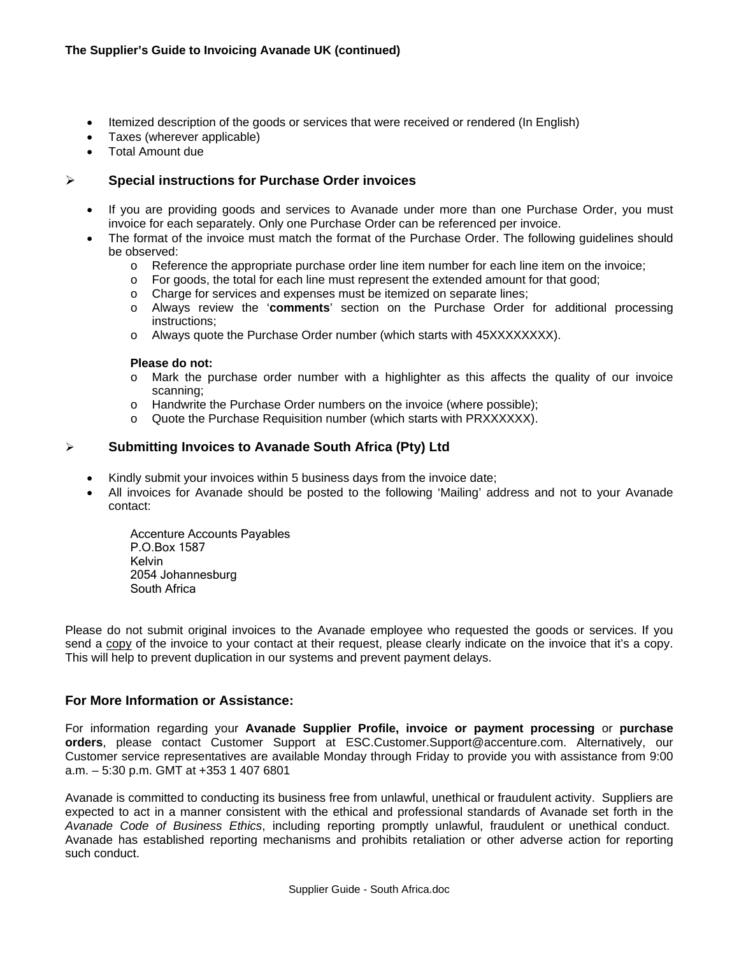- Itemized description of the goods or services that were received or rendered (In English)
- Taxes (wherever applicable)
- Total Amount due

## **Special instructions for Purchase Order invoices**

- If you are providing goods and services to Avanade under more than one Purchase Order, you must invoice for each separately. Only one Purchase Order can be referenced per invoice.
- The format of the invoice must match the format of the Purchase Order. The following guidelines should be observed:
	- o Reference the appropriate purchase order line item number for each line item on the invoice;
	- o For goods, the total for each line must represent the extended amount for that good;
	- o Charge for services and expenses must be itemized on separate lines;
	- o Always review the '**comments**' section on the Purchase Order for additional processing instructions;
	- o Always quote the Purchase Order number (which starts with 45XXXXXXXX).

#### **Please do not:**

- o Mark the purchase order number with a highlighter as this affects the quality of our invoice scanning;
- o Handwrite the Purchase Order numbers on the invoice (where possible);
- o Quote the Purchase Requisition number (which starts with PRXXXXXX).

### **Submitting Invoices to Avanade South Africa (Pty) Ltd**

- Kindly submit your invoices within 5 business days from the invoice date;
- All invoices for Avanade should be posted to the following 'Mailing' address and not to your Avanade contact:

Accenture Accounts Payables P.O.Box 1587 Kelvin 2054 Johannesburg South Africa

Please do not submit original invoices to the Avanade employee who requested the goods or services. If you send a copy of the invoice to your contact at their request, please clearly indicate on the invoice that it's a copy. This will help to prevent duplication in our systems and prevent payment delays.

### **For More Information or Assistance:**

For information regarding your **Avanade Supplier Profile, invoice or payment processing** or **purchase orders**, please contact Customer Support at ESC.Customer.Support@accenture.com. Alternatively, our Customer service representatives are available Monday through Friday to provide you with assistance from 9:00 a.m. – 5:30 p.m. GMT at +353 1 407 6801

Avanade is committed to conducting its business free from unlawful, unethical or fraudulent activity. Suppliers are expected to act in a manner consistent with the ethical and professional standards of Avanade set forth in the *Avanade Code of Business Ethics*, including reporting promptly unlawful, fraudulent or unethical conduct. Avanade has established reporting mechanisms and prohibits retaliation or other adverse action for reporting such conduct.